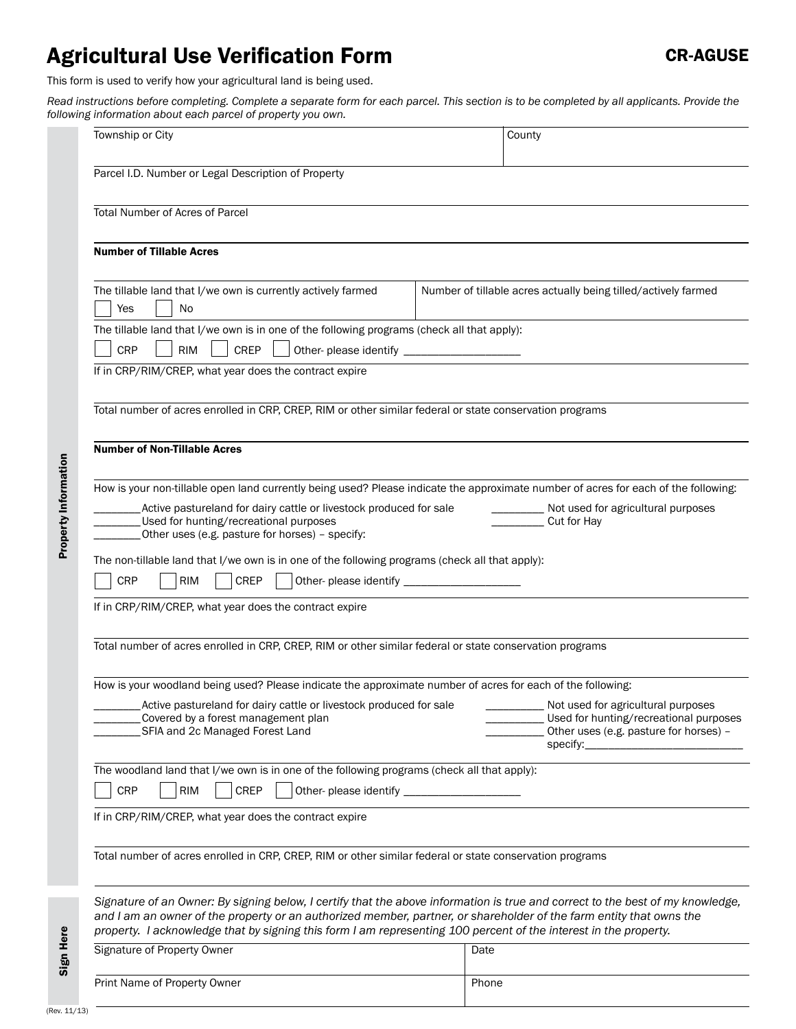# Agricultural Use Verification Form

This form is used to verify how your agricultural land is being used.

Read instructions before completing. Complete a separate form for each parcel. This section is to be completed by all applicants. Provide the **following information** about each parcel of property way our *following information* 

|                                                                                                                                                                                                               | ilowing information about each parcel of property you own.                                                                                                                                                                                                                                                                                                                                                                                                                                                            |                                                                                                                                    |  |
|---------------------------------------------------------------------------------------------------------------------------------------------------------------------------------------------------------------|-----------------------------------------------------------------------------------------------------------------------------------------------------------------------------------------------------------------------------------------------------------------------------------------------------------------------------------------------------------------------------------------------------------------------------------------------------------------------------------------------------------------------|------------------------------------------------------------------------------------------------------------------------------------|--|
|                                                                                                                                                                                                               | Township or City                                                                                                                                                                                                                                                                                                                                                                                                                                                                                                      | County                                                                                                                             |  |
|                                                                                                                                                                                                               | Parcel I.D. Number or Legal Description of Property                                                                                                                                                                                                                                                                                                                                                                                                                                                                   |                                                                                                                                    |  |
|                                                                                                                                                                                                               | <b>Total Number of Acres of Parcel</b>                                                                                                                                                                                                                                                                                                                                                                                                                                                                                |                                                                                                                                    |  |
|                                                                                                                                                                                                               | <b>Number of Tillable Acres</b>                                                                                                                                                                                                                                                                                                                                                                                                                                                                                       |                                                                                                                                    |  |
|                                                                                                                                                                                                               | The tillable land that I/we own is currently actively farmed<br>Yes<br>No                                                                                                                                                                                                                                                                                                                                                                                                                                             | Number of tillable acres actually being tilled/actively farmed                                                                     |  |
|                                                                                                                                                                                                               | The tillable land that I/we own is in one of the following programs (check all that apply):<br><b>CREP</b><br><b>CRP</b><br><b>RIM</b>                                                                                                                                                                                                                                                                                                                                                                                |                                                                                                                                    |  |
|                                                                                                                                                                                                               | If in CRP/RIM/CREP, what year does the contract expire                                                                                                                                                                                                                                                                                                                                                                                                                                                                |                                                                                                                                    |  |
|                                                                                                                                                                                                               | Total number of acres enrolled in CRP, CREP, RIM or other similar federal or state conservation programs                                                                                                                                                                                                                                                                                                                                                                                                              |                                                                                                                                    |  |
|                                                                                                                                                                                                               | <b>Number of Non-Tillable Acres</b>                                                                                                                                                                                                                                                                                                                                                                                                                                                                                   |                                                                                                                                    |  |
| Property Information                                                                                                                                                                                          | How is your non-tillable open land currently being used? Please indicate the approximate number of acres for each of the following:<br>Active pastureland for dairy cattle or livestock produced for sale<br>___________ Not used for agricultural purposes<br>Used for hunting/recreational purposes<br>Cut for Hay<br>Other uses (e.g. pasture for horses) - specify:<br>The non-tillable land that I/we own is in one of the following programs (check all that apply):<br><b>CRP</b><br><b>RIM</b><br><b>CREP</b> |                                                                                                                                    |  |
|                                                                                                                                                                                                               |                                                                                                                                                                                                                                                                                                                                                                                                                                                                                                                       |                                                                                                                                    |  |
|                                                                                                                                                                                                               | If in CRP/RIM/CREP, what year does the contract expire                                                                                                                                                                                                                                                                                                                                                                                                                                                                |                                                                                                                                    |  |
|                                                                                                                                                                                                               | Total number of acres enrolled in CRP, CREP, RIM or other similar federal or state conservation programs                                                                                                                                                                                                                                                                                                                                                                                                              |                                                                                                                                    |  |
|                                                                                                                                                                                                               | How is your woodland being used? Please indicate the approximate number of acres for each of the following:<br>Active pastureland for dairy cattle or livestock produced for sale<br>Covered by a forest management plan<br>SFIA and 2c Managed Forest Land                                                                                                                                                                                                                                                           | Not used for agricultural purposes<br>Used for hunting/recreational purposes<br>Other uses (e.g. pasture for horses) -<br>specify: |  |
| The woodland land that I/we own is in one of the following programs (check all that apply):<br>CRP<br>CREP<br><b>RIM</b><br>Other-please identify _<br>If in CRP/RIM/CREP, what year does the contract expire |                                                                                                                                                                                                                                                                                                                                                                                                                                                                                                                       |                                                                                                                                    |  |
|                                                                                                                                                                                                               |                                                                                                                                                                                                                                                                                                                                                                                                                                                                                                                       |                                                                                                                                    |  |
|                                                                                                                                                                                                               | Total number of acres enrolled in CRP, CREP, RIM or other similar federal or state conservation programs                                                                                                                                                                                                                                                                                                                                                                                                              |                                                                                                                                    |  |
|                                                                                                                                                                                                               | Signature of an Owner: By signing below, I certify that the above information is true and correct to the best of my knowledge,<br>and I am an owner of the property or an authorized member, partner, or shareholder of the farm entity that owns the<br>property. I acknowledge that by signing this form I am representing 100 percent of the interest in the property.                                                                                                                                             |                                                                                                                                    |  |
| Sign Here                                                                                                                                                                                                     | Signature of Property Owner                                                                                                                                                                                                                                                                                                                                                                                                                                                                                           | Date                                                                                                                               |  |

Print Name of Property Owner Phone